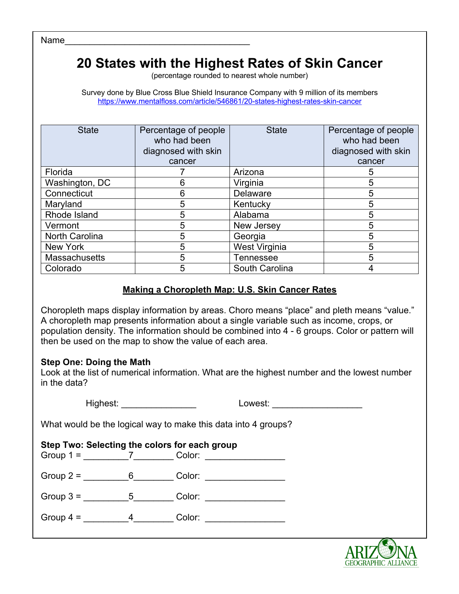Name

## **20 States with the Highest Rates of Skin Cancer**

(percentage rounded to nearest whole number)

Survey done by Blue Cross Blue Shield Insurance Company with 9 million of its members https://www.mentalfloss.com/article/546861/20-states-highest-rates-skin-cancer

| <b>State</b>          | Percentage of people<br>who had been<br>diagnosed with skin<br>cancer | <b>State</b>     | Percentage of people<br>who had been<br>diagnosed with skin<br>cancer |
|-----------------------|-----------------------------------------------------------------------|------------------|-----------------------------------------------------------------------|
| Florida               |                                                                       | Arizona          |                                                                       |
| Washington, DC        | 6                                                                     | Virginia         | 5                                                                     |
| Connecticut           | 6                                                                     | <b>Delaware</b>  | 5                                                                     |
| Maryland              | 5                                                                     | Kentucky         | 5                                                                     |
| Rhode Island          | 5                                                                     | Alabama          | 5                                                                     |
| Vermont               | 5                                                                     | New Jersey       | 5                                                                     |
| <b>North Carolina</b> | 5                                                                     | Georgia          | 5                                                                     |
| New York              | 5                                                                     | West Virginia    | 5                                                                     |
| <b>Massachusetts</b>  | 5                                                                     | <b>Tennessee</b> |                                                                       |
| Colorado              | 5                                                                     | South Carolina   |                                                                       |

#### **Making a Choropleth Map: U.S. Skin Cancer Rates**

Choropleth maps display information by areas. Choro means "place" and pleth means "value." A choropleth map presents information about a single variable such as income, crops, or population density. The information should be combined into 4 - 6 groups. Color or pattern will then be used on the map to show the value of each area.

#### **Step One: Doing the Math**

Look at the list of numerical information. What are the highest number and the lowest number in the data?

Highest: **We have a lower with the U** Lowest:  $\blacksquare$ 

What would be the logical way to make this data into 4 groups?

|   | Step Two: Selecting the colors for each group<br>Color: |
|---|---------------------------------------------------------|
| 6 | Color: <b>Color</b>                                     |
| 5 | Color:                                                  |
|   | Color:                                                  |
|   |                                                         |

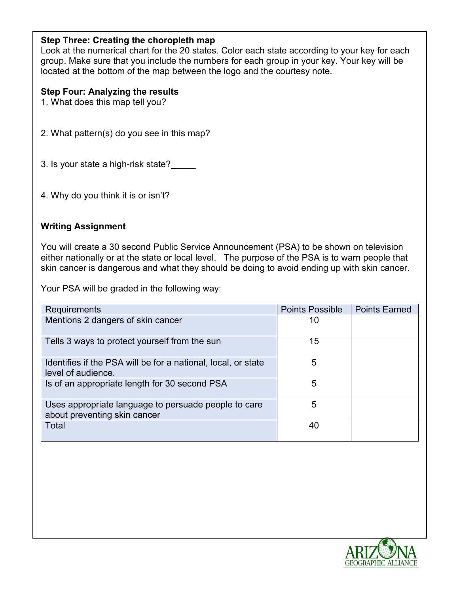## **Step Three: Creating the choropleth map**

Look at the numerical chart for the 20 states. Color each state according to your key for each group. Make sure that you include the numbers for each group in your key. Your key will be located at the bottom of the map between the logo and the courtesy note.

#### **Step Four: Analyzing the results**

- 1. What does this map tell you?
- 2. What pattern(s) do you see in this map?
- 3. Is your state a high-risk state?
- 4. Why do you think it is or isn't?

#### **Writing Assignment**

You will create a 30 second Public Service Announcement (PSA) to be shown on television either nationally or at the state or local level. The purpose of the PSA is to warn people that skin cancer is dangerous and what they should be doing to avoid ending up with skin cancer.

Your PSA will be graded in the following way:

| Requirements                                                                         | <b>Points Possible</b> | <b>Points Earned</b> |
|--------------------------------------------------------------------------------------|------------------------|----------------------|
| Mentions 2 dangers of skin cancer                                                    | 10                     |                      |
| Tells 3 ways to protect yourself from the sun                                        | 15                     |                      |
| Identifies if the PSA will be for a national, local, or state<br>level of audience.  | 5                      |                      |
| Is of an appropriate length for 30 second PSA                                        | 5                      |                      |
| Uses appropriate language to persuade people to care<br>about preventing skin cancer | 5                      |                      |
| Total                                                                                | 40                     |                      |

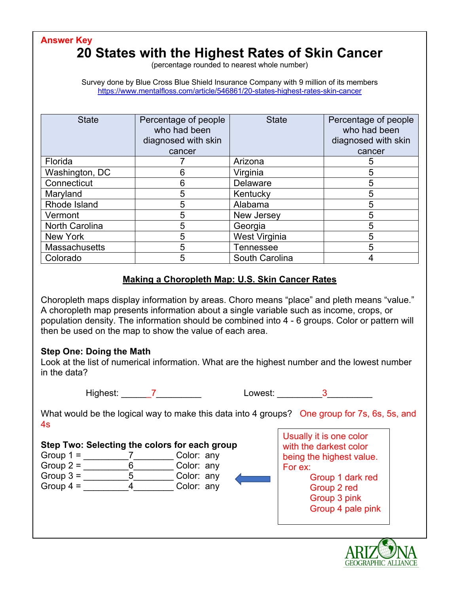**Answer Key**

# **20 States with the Highest Rates of Skin Cancer**

(percentage rounded to nearest whole number)

Survey done by Blue Cross Blue Shield Insurance Company with 9 million of its members https://www.mentalfloss.com/article/546861/20-states-highest-rates-skin-cancer

| <b>State</b>          | Percentage of people<br>who had been<br>diagnosed with skin<br>cancer | <b>State</b>     | Percentage of people<br>who had been<br>diagnosed with skin<br>cancer |
|-----------------------|-----------------------------------------------------------------------|------------------|-----------------------------------------------------------------------|
| Florida               |                                                                       | Arizona          | 5                                                                     |
| Washington, DC        | 6                                                                     | Virginia         | 5                                                                     |
| Connecticut           | 6                                                                     | Delaware         |                                                                       |
| Maryland              | 5                                                                     | Kentucky         | 5                                                                     |
| Rhode Island          | 5                                                                     | Alabama          | 5                                                                     |
| Vermont               | 5                                                                     | New Jersey       | 5                                                                     |
| <b>North Carolina</b> | 5                                                                     | Georgia          | 5                                                                     |
| New York              | 5                                                                     | West Virginia    |                                                                       |
| <b>Massachusetts</b>  | 5                                                                     | <b>Tennessee</b> | 5                                                                     |
| Colorado              | 5                                                                     | South Carolina   |                                                                       |

#### **Making a Choropleth Map: U.S. Skin Cancer Rates**

Choropleth maps display information by areas. Choro means "place" and pleth means "value." A choropleth map presents information about a single variable such as income, crops, or population density. The information should be combined into 4 - 6 groups. Color or pattern will then be used on the map to show the value of each area.

#### **Step One: Doing the Math**

Look at the list of numerical information. What are the highest number and the lowest number in the data?

Highest: T Lowest: 2

What would be the logical way to make this data into 4 groups? One group for 7s, 6s, 5s, and 4s

#### **Step Two: Selecting the colors for each group**

| Group $1 =$ |   | Color: any |  |
|-------------|---|------------|--|
| Group $2 =$ | 6 | Color: any |  |
| Group $3 =$ |   | Color: any |  |
| Group $4 =$ |   | Color: any |  |

Usually it is one color with the darkest color being the highest value. For ex: Group 1 dark red

Group 2 red Group 3 pink Group 4 pale pink